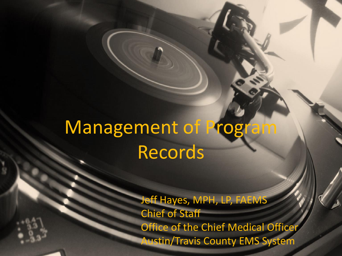# Management of Program Records

Jeff Hayes, MPH, LP, FAEMS Chief of Staff Office of the Chief Medical Officer Austin/Travis County EMS System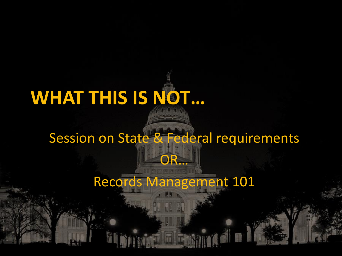# **WHAT THIS IS NOT…**

#### Session on State & Federal requirements

OR…

Records Management 101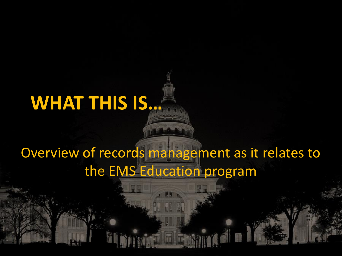# **WHAT THIS IS…**

#### Overview of records management as it relates to the EMS Education program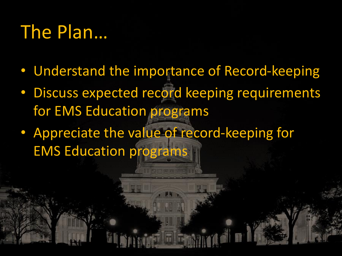## The Plan…

- Understand the importance of Record-keeping
- Discuss expected record keeping requirements for EMS Education programs
- Appreciate the value of record-keeping for EMS Education programs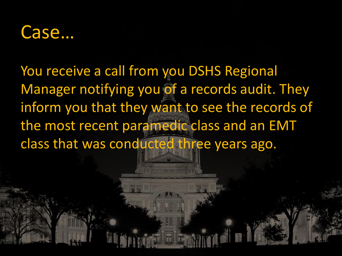

You receive a call from you DSHS Regional Manager notifying you of a records audit. They inform you that they want to see the records of the most recent paramedic class and an EMT class that was conducted three years ago.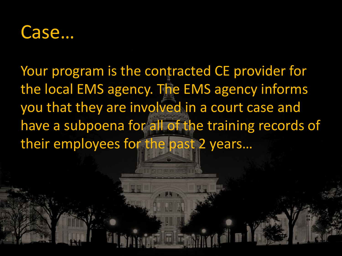#### Case…

Your program is the contracted CE provider for the local EMS agency. The EMS agency informs you that they are involved in a court case and have a subpoena for all of the training records of their employees for the past 2 years…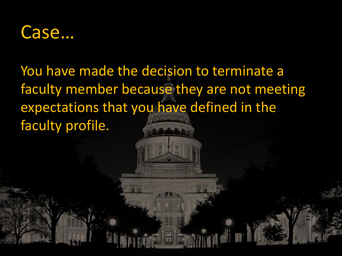

#### You have made the decision to terminate a faculty member because they are not meeting expectations that you have defined in the faculty profile.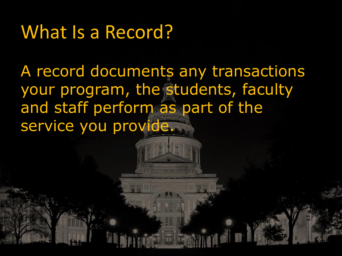### What Is a Record?

A record documents any transactions your program, the students, faculty and staff perform as part of the service you provide.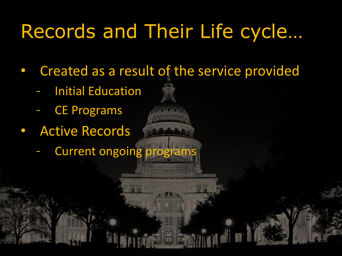# Records and Their Life cycle…

• Created as a result of the service provided

- **Initial Education**
- **CE Programs**
- **Active Records** 
	- Current ongoing programs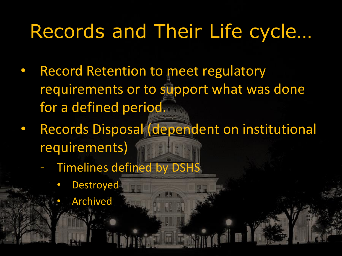# Records and Their Life cycle…

- **Record Retention to meet regulatory** requirements or to support what was done for a defined period.
- Records Disposal (dependent on institutional requirements)
	- Timelines defined by DSHS
		- **Destroyed** 
			- **Archived**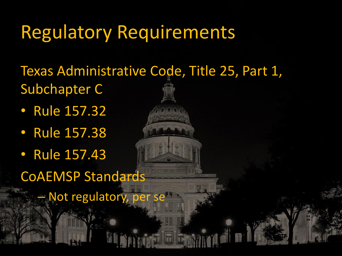## Regulatory Requirements

Texas Administrative Code, Title 25, Part 1, Subchapter C

- Rule 157.32
- Rule 157.38
- Rule 157.43

CoAEMSP Standards

– Not regulatory, per se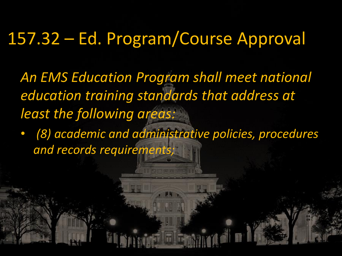#### 157.32 – Ed. Program/Course Approval

*An EMS Education Program shall meet national education training standards that address at least the following areas:*

• *(8) academic and administrative policies, procedures and records requirements;*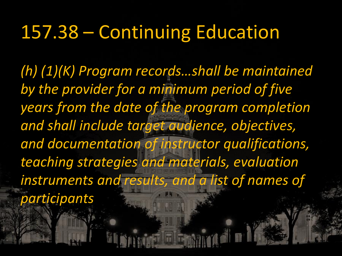### 157.38 – Continuing Education

*(h) (1)(K) Program records…shall be maintained by the provider for a minimum period of five years from the date of the program completion and shall include target audience, objectives, and documentation of instructor qualifications, teaching strategies and materials, evaluation instruments and results, and a list of names of participants*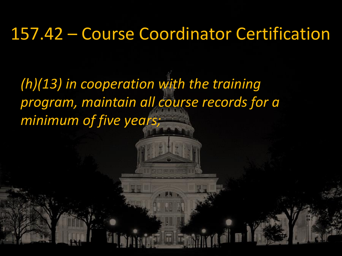#### 157.42 – Course Coordinator Certification

*(h)(13) in cooperation with the training program, maintain all course records for a minimum of five years;*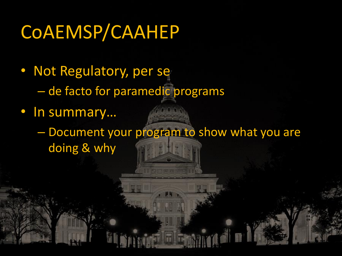# CoAEMSP/CAAHEP

- Not Regulatory, per se – de facto for paramedic programs
- In summary…
	- Document your program to show what you are doing & why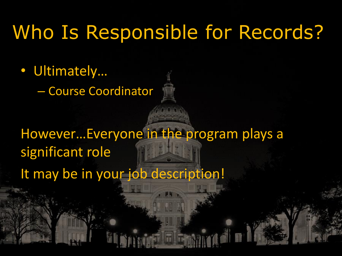### Who Is Responsible for Records?

- Ultimately…
	- Course Coordinator

#### However…Everyone in the program plays a significant role It may be in your job description!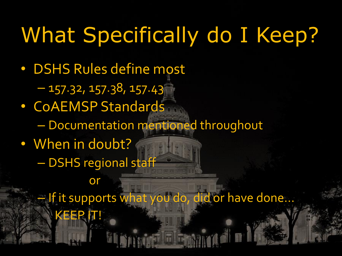# What Specifically do I Keep?

– If it supports what you do, did or have done…

- DSHS Rules define most  $-157.32, 157.38, 157.43$ • CoAEMSP Standards – Documentation mentioned throughout • When in doubt?
	- DSHS regional staff

or

KEEP IT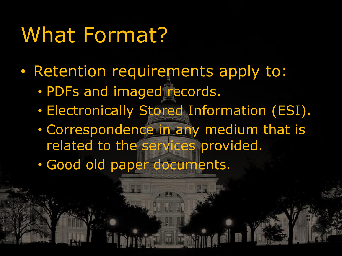# What Format?

- Retention requirements apply to:
	- PDFs and imaged records.
	- Electronically Stored Information (ESI).
	- Correspondence in any medium that is related to the services provided.
	- Good old paper documents.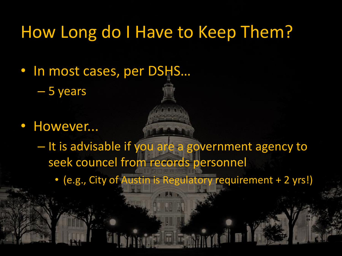#### How Long do I Have to Keep Them?

• In most cases, per DSHS…

– 5 years

• However...

– It is advisable if you are a government agency to seek councel from records personnel

• (e.g., City of Austin is Regulatory requirement + 2 yrs!)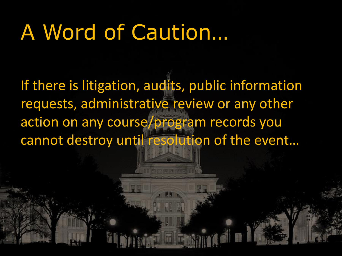# A Word of Caution…

If there is litigation, audits, public information requests, administrative review or any other action on any course/program records you cannot destroy until resolution of the event…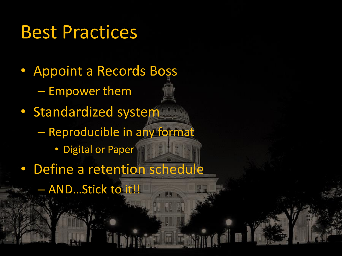#### Best Practices

- Appoint a Records Boss – Empower them • Standardized system – Reproducible in any format • Digital or Paper
- Define a retention schedule
	- AND…Stick to it!!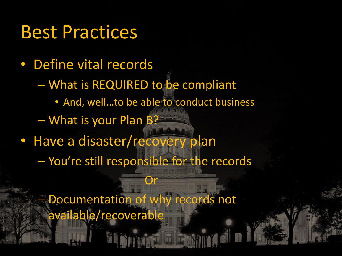#### Best Practices

• Define vital records – What is REQUIRED to be compliant • And, well…to be able to conduct business – What is your Plan B? • Have a disaster/recovery plan – You're still responsible for the records

– Documentation of why records not available/recoverable

Or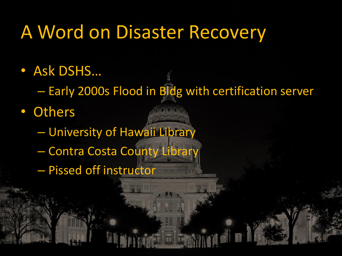### A Word on Disaster Recovery

- Ask DSHS…
	- Early 2000s Flood in Bldg with certification server
- Others
	- University of Hawaii Library
	- Contra Costa County Library
	- Pissed off instructor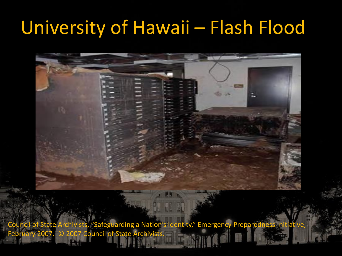# University of Hawaii – Flash Flood

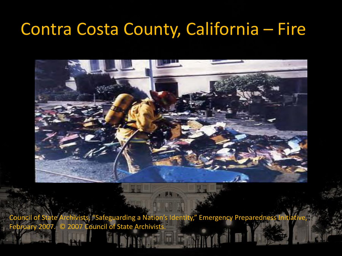#### Contra Costa County, California – Fire



Council of State Archivists, "Safeguarding a Nation's Identity," Emergency Preparedness Initiative, February 2007. © 2007 Council of State Archivists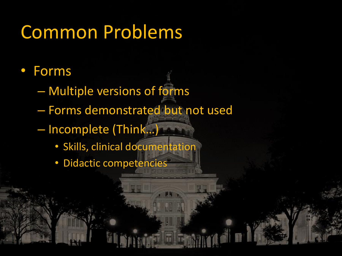# Common Problems

- Forms
	- Multiple versions of forms
	- Forms demonstrated but not used
	- Incomplete (Think…)
		- Skills, clinical documentation
		- Didactic competencies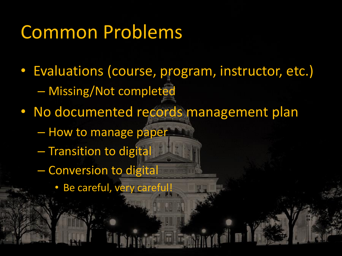## Common Problems

- Evaluations (course, program, instructor, etc.) – Missing/Not completed
- No documented records management plan
	- How to manage paper
	- Transition to digital
	- Conversion to digital
		- Be careful, very careful!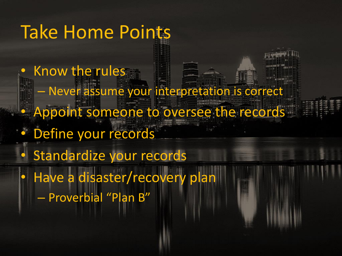#### Take Home Points

Know the rules – Never assume your interpretation is correct • Appoint someone to oversee the records Define your records Standardize your records Have a disaster/recovery plan – Proverbial "Plan B"